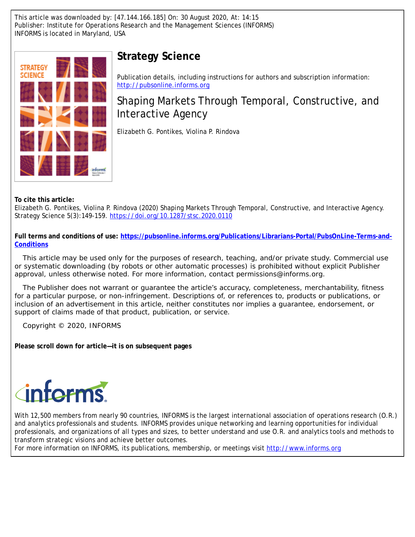This article was downloaded by: [47.144.166.185] On: 30 August 2020, At: 14:15 Publisher: Institute for Operations Research and the Management Sciences (INFORMS) INFORMS is located in Maryland, USA



# **Strategy Science**

Publication details, including instructions for authors and subscription information: <http://pubsonline.informs.org>

# Shaping Markets Through Temporal, Constructive, and Interactive Agency

Elizabeth G. Pontikes, Violina P. Rindova

**To cite this article:**

Elizabeth G. Pontikes, Violina P. Rindova (2020) Shaping Markets Through Temporal, Constructive, and Interactive Agency. Strategy Science 5(3):149-159. <https://doi.org/10.1287/stsc.2020.0110>

**Full terms and conditions of use: [https://pubsonline.informs.org/Publications/Librarians-Portal/PubsOnLine-Terms-and-](https://pubsonline.informs.org/Publications/Librarians-Portal/PubsOnLine-Terms-and-Conditions)[Conditions](https://pubsonline.informs.org/Publications/Librarians-Portal/PubsOnLine-Terms-and-Conditions)**

This article may be used only for the purposes of research, teaching, and/or private study. Commercial use or systematic downloading (by robots or other automatic processes) is prohibited without explicit Publisher approval, unless otherwise noted. For more information, contact permissions@informs.org.

The Publisher does not warrant or guarantee the article's accuracy, completeness, merchantability, fitness for a particular purpose, or non-infringement. Descriptions of, or references to, products or publications, or inclusion of an advertisement in this article, neither constitutes nor implies a guarantee, endorsement, or support of claims made of that product, publication, or service.

Copyright © 2020, INFORMS

**Please scroll down for article—it is on subsequent pages**

# torms

With 12,500 members from nearly 90 countries, INFORMS is the largest international association of operations research (O.R.) and analytics professionals and students. INFORMS provides unique networking and learning opportunities for individual professionals, and organizations of all types and sizes, to better understand and use O.R. and analytics tools and methods to transform strategic visions and achieve better outcomes.

For more information on INFORMS, its publications, membership, or meetings visit <http://www.informs.org>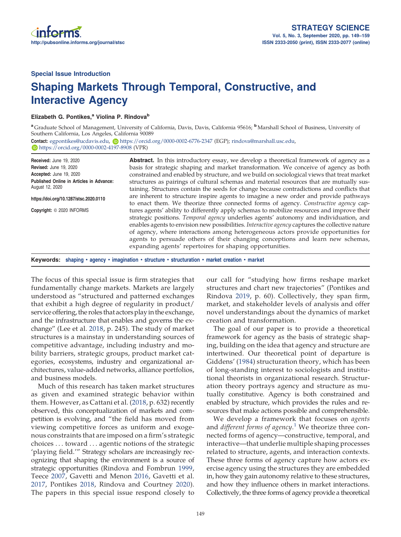Special Issue Introduction

# Shaping Markets Through Temporal, Constructive, and Interactive Agency

#### Elizabeth G. Pontikes,<sup>a</sup> Violina P. Rindova<sup>b</sup>

a Graduate School of Management, University of California, Davis, Davis, California 95616; <sup>b</sup>Marshall School of Business, University of Southern California, Los Angeles, California 90089

Contact: [egpontikes@ucdavis.edu,](mailto:egpontikes@ucdavis.edu) D<https://orcid.org/0000-0002-6776-2347> (EGP); [rindova@marshall.usc.edu,](mailto:rindova@marshall.usc.edu) <https://orcid.org/0000-0002-4197-8908> (VPR)

Received: June 19, 2020 Revised: June 19, 2020<br>Accepted: June 19, 2020 Accepted: June 19, 2020 Published Online in Articles in Advance: August 12, 2020 <https://doi.org/10.1287/stsc.2020.0110> Copyright: © 2020 INFORMS **Abstract.** In this introductory essay, we develop a theoretical framework of agency as a basis for strategic shaping and market transformation. We conceive of agency as both constrained and enabled by structure, and we build on sociological views that treat market structures as pairings of cultural schemas and material resources that are mutually sustaining. Structures contain the seeds for change because contradictions and conflicts that are inherent to structure inspire agents to imagine a new order and provide pathways to enact them. We theorize three connected forms of agency. Constructive agency captures agents' ability to differently apply schemas to mobilize resources and improve their strategic positions. Temporal agency underlies agents' autonomy and individuation, and enables agents to envision new possibilities. *Interactive agency* captures the collective nature of agency, where interactions among heterogeneous actors provide opportunities for agents to persuade others of their changing conceptions and learn new schemas, expanding agents' repertoires for shaping opportunities.

Keywords: shaping • agency • imagination • structure • structuration • market creation • market

The focus of this special issue is firm strategies that fundamentally change markets. Markets are largely understood as "structured and patterned exchanges that exhibit a high degree of regularity in product/ service offering, the roles that actors play in the exchange, and the infrastructure that enables and governs the exchange" (Lee et al. [2018,](#page-11-0) p. 245). The study of market structures is a mainstay in understanding sources of competitive advantage, including industry and mobility barriers, strategic groups, product market categories, ecosystems, industry and organizational architectures, value-added networks, alliance portfolios, and business models.

Much of this research has taken market structures as given and examined strategic behavior within them. However, as Cattani et al. ([2018](#page-10-0), p. 632) recently observed, this conceptualization of markets and competition is evolving, and "the field has moved from viewing competitive forces as uniform and exogenous constraints that are imposed on a firm's strategic choices . . . toward . . . agentic notions of the strategic 'playing field.'" Strategy scholars are increasingly recognizing that shaping the environment is a source of strategic opportunities (Rindova and Fombrun [1999](#page-11-1), Teece [2007](#page-11-2), Gavetti and Menon [2016,](#page-10-1) Gavetti et al. [2017](#page-10-2), Pontikes [2018,](#page-11-3) Rindova and Courtney [2020\)](#page-11-4). The papers in this special issue respond closely to our call for "studying how firms reshape market structures and chart new trajectories" (Pontikes and Rindova [2019,](#page-11-5) p. 60). Collectively, they span firm, market, and stakeholder levels of analysis and offer novel understandings about the dynamics of market creation and transformation.

The goal of our paper is to provide a theoretical framework for agency as the basis of strategic shaping, building on the idea that agency and structure are intertwined. Our theoretical point of departure is Giddens' [\(1984](#page-10-3)) structuration theory, which has been of long-standing interest to sociologists and institutional theorists in organizational research. Structuration theory portrays agency and structure as mutually constitutive. Agency is both constrained and enabled by structure, which provides the rules and resources that make actions possible and comprehensible.

We develop a framework that focuses on agents and  $d$ ifferent forms of agency.<sup>[1](#page-10-4)</sup> We theorize three connected forms of agency—constructive, temporal, and interactive—that underlie multiple shaping processes related to structure, agents, and interaction contexts. These three forms of agency capture how actors exercise agency using the structures they are embedded in, how they gain autonomy relative to these structures, and how they influence others in market interactions. Collectively, the three forms of agency provide a theoretical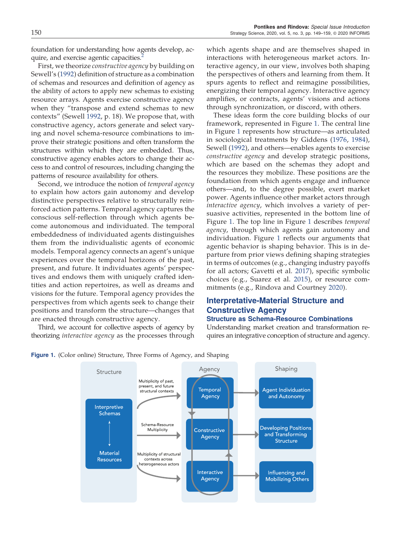foundation for understanding how agents develop, acquire, and exercise agentic capacities.<sup>2</sup>

First, we theorize constructive agency by building on Sewell's [\(1992](#page-11-6)) definition of structure as a combination of schemas and resources and definition of agency as the ability of actors to apply new schemas to existing resource arrays. Agents exercise constructive agency when they "transpose and extend schemas to new contexts" (Sewell [1992](#page-11-6), p. 18). We propose that, with constructive agency, actors generate and select varying and novel schema-resource combinations to improve their strategic positions and often transform the structures within which they are embedded. Thus, constructive agency enables actors to change their access to and control of resources, including changing the patterns of resource availability for others.

Second, we introduce the notion of temporal agency to explain how actors gain autonomy and develop distinctive perspectives relative to structurally reinforced action patterns. Temporal agency captures the conscious self-reflection through which agents become autonomous and individuated. The temporal embeddedness of individuated agents distinguishes them from the individualistic agents of economic models. Temporal agency connects an agent's unique experiences over the temporal horizons of the past, present, and future. It individuates agents' perspectives and endows them with uniquely crafted identities and action repertoires, as well as dreams and visions for the future. Temporal agency provides the perspectives from which agents seek to change their positions and transform the structure—changes that are enacted through constructive agency.

Third, we account for collective aspects of agency by theorizing interactive agency as the processes through which agents shape and are themselves shaped in interactions with heterogeneous market actors. Interactive agency, in our view, involves both shaping the perspectives of others and learning from them. It spurs agents to reflect and reimagine possibilities, energizing their temporal agency. Interactive agency amplifies, or contracts, agents' visions and actions through synchronization, or discord, with others.

These ideas form the core building blocks of our framework, represented in Figure [1](#page-2-0). The central line in Figure [1](#page-2-0) represents how structure—as articulated in sociological treatments by Giddens [\(1976](#page-10-6), [1984\)](#page-10-3), Sewell ([1992\)](#page-11-6), and others—enables agents to exercise constructive agency and develop strategic positions, which are based on the schemas they adopt and the resources they mobilize. These positions are the foundation from which agents engage and influence others—and, to the degree possible, exert market power. Agents influence other market actors through interactive agency, which involves a variety of persuasive activities, represented in the bottom line of Figure [1](#page-2-0). The top line in Figure [1](#page-2-0) describes temporal agency, through which agents gain autonomy and individuation. Figure [1](#page-2-0) reflects our arguments that agentic behavior is shaping behavior. This is in departure from prior views defining shaping strategies in terms of outcomes (e.g., changing industry payoffs for all actors; Gavetti et al. [2017\)](#page-10-2), specific symbolic choices (e.g., Suarez et al. [2015\)](#page-11-7), or resource commitments (e.g., Rindova and Courtney [2020](#page-11-4)).

## Interpretative-Material Structure and Constructive Agency

#### Structure as Schema-Resource Combinations

Understanding market creation and transformation requires an integrative conception of structure and agency.



<span id="page-2-0"></span>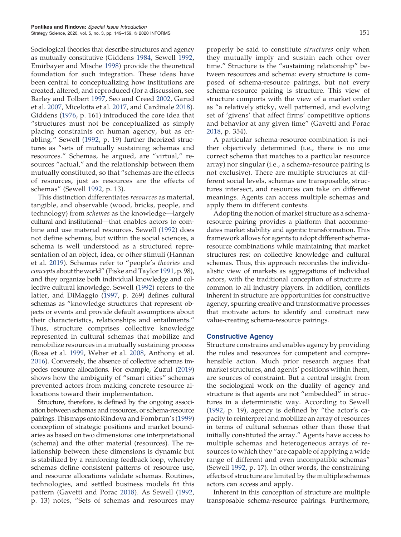Sociological theories that describe structures and agency as mutually constitutive (Giddens [1984](#page-10-3), Sewell [1992](#page-11-6), Emirbayer and Mische [1998](#page-10-7)) provide the theoretical foundation for such integration. These ideas have been central to conceptualizing how institutions are created, altered, and reproduced (for a discussion, see Barley and Tolbert [1997,](#page-10-8) Seo and Creed [2002,](#page-11-8) Garud et al. [2007](#page-10-9), Micelotta et al. [2017,](#page-11-9) and Cardinale [2018\)](#page-10-10). Giddens [\(1976](#page-10-6), p. 161) introduced the core idea that "structures must not be conceptualized as simply placing constraints on human agency, but as enabling." Sewell [\(1992](#page-11-6), p. 19) further theorized structures as "sets of mutually sustaining schemas and resources." Schemas, he argued, are "virtual," resources "actual," and the relationship between them mutually constituted, so that "schemas are the effects of resources, just as resources are the effects of schemas" (Sewell [1992,](#page-11-6) p. 13).

This distinction differentiates resources as material, tangible, and observable (wood, bricks, people, and technology) from schemas as the knowledge—largely cultural and institutional—that enables actors to combine and use material resources. Sewell ([1992\)](#page-11-6) does not define schemas, but within the social sciences, a schema is well understood as a structured representation of an object, idea, or other stimuli (Hannan et al. [2019\)](#page-10-11). Schemas refer to "people's theories and concepts about theworld" (Fiske and Taylor [1991](#page-10-12), p. 98), and they organize both individual knowledge and collective cultural knowledge. Sewell [\(1992](#page-11-6)) refers to the latter, and DiMaggio [\(1997](#page-10-13), p. 269) defines cultural schemas as "knowledge structures that represent objects or events and provide default assumptions about their characteristics, relationships and entailments." Thus, structure comprises collective knowledge represented in cultural schemas that mobilize and remobilize resources in a mutually sustaining process (Rosa et al. [1999](#page-11-10), Weber et al. [2008,](#page-11-11) Anthony et al. [2016](#page-10-14)). Conversely, the absence of collective schemas impedes resource allocations. For example, Zuzul ([2019](#page-11-12)) shows how the ambiguity of "smart cities" schemas prevented actors from making concrete resource allocations toward their implementation.

Structure, therefore, is defined by the ongoing association between schemas and resources, or schema-resource pairings. This maps onto Rindova and Fombrun's ([1999](#page-11-1)) conception of strategic positions and market boundaries as based on two dimensions: one interpretational (schema) and the other material (resources). The relationship between these dimensions is dynamic but is stabilized by a reinforcing feedback loop, whereby schemas define consistent patterns of resource use, and resource allocations validate schemas. Routines, technologies, and settled business models fit this pattern (Gavetti and Porac [2018](#page-10-15)). As Sewell [\(1992](#page-11-6), p. 13) notes, "Sets of schemas and resources may

properly be said to constitute structures only when they mutually imply and sustain each other over time." Structure is the "sustaining relationship" between resources and schema: every structure is composed of schema-resource pairings, but not every schema-resource pairing is structure. This view of structure comports with the view of a market order as "a relatively sticky, well patterned, and evolving set of 'givens' that affect firms' competitive options and behavior at any given time" (Gavetti and Porac [2018](#page-10-15), p. 354).

A particular schema-resource combination is neither objectively determined (i.e., there is no one correct schema that matches to a particular resource array) nor singular (i.e., a schema-resource pairing is not exclusive). There are multiple structures at different social levels, schemas are transposable, structures intersect, and resources can take on different meanings. Agents can access multiple schemas and apply them in different contexts.

Adopting the notion of market structure as a schemaresource pairing provides a platform that accommodates market stability and agentic transformation. This framework allows for agents to adopt different schemaresource combinations while maintaining that market structures rest on collective knowledge and cultural schemas. Thus, this approach reconciles the individualistic view of markets as aggregations of individual actors, with the traditional conception of structure as common to all industry players. In addition, conflicts inherent in structure are opportunities for constructive agency, spurring creative and transformative processes that motivate actors to identify and construct new value-creating schema-resource pairings.

#### Constructive Agency

Structure constrains and enables agency by providing the rules and resources for competent and comprehensible action. Much prior research argues that market structures, and agents' positions within them, are sources of constraint. But a central insight from the sociological work on the duality of agency and structure is that agents are not "embedded" in structures in a deterministic way. According to Sewell ([1992,](#page-11-6) p. 19), agency is defined by "the actor's capacity to reinterpret and mobilize an array of resources in terms of cultural schemas other than those that initially constituted the array." Agents have access to multiple schemas and heterogeneous arrays of resources to which they "are capable of applying a wide range of different and even incompatible schemas" (Sewell [1992](#page-11-6), p. 17). In other words, the constraining effects of structure are limited by the multiple schemas actors can access and apply.

Inherent in this conception of structure are multiple transposable schema-resource pairings. Furthermore,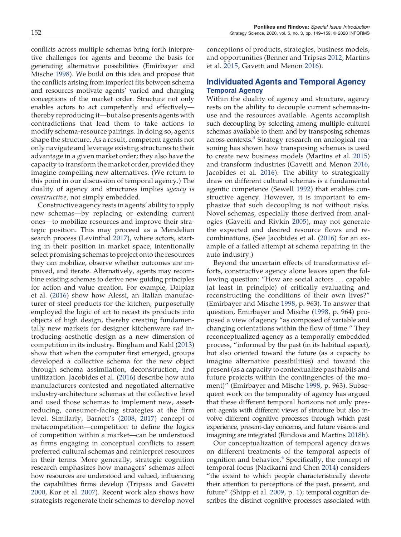conflicts across multiple schemas bring forth interpretive challenges for agents and become the basis for generating alternative possibilities (Emirbayer and Mische [1998\)](#page-10-7). We build on this idea and propose that the conflicts arising from imperfect fits between schema and resources motivate agents' varied and changing conceptions of the market order. Structure not only enables actors to act competently and effectively thereby reproducing it—but also presents agents with contradictions that lead them to take actions to modify schema-resource pairings. In doing so, agents shape the structure. As a result, competent agents not only navigate and leverage existing structures to their advantage in a given market order; they also have the capacity to transform the market order, provided they imagine compelling new alternatives. (We return to this point in our discussion of temporal agency.) The duality of agency and structures implies agency is constructive, not simply embedded.

Constructive agency rests in agents' ability to apply new schemas—by replacing or extending current ones—to mobilize resources and improve their strategic position. This may proceed as a Mendelian search process (Levinthal [2017\)](#page-11-13), where actors, starting in their position in market space, intentionally select promising schemas to project onto the resources they can mobilize, observe whether outcomes are improved, and iterate. Alternatively, agents may recombine existing schemas to derive new guiding principles for action and value creation. For example, Dalpiaz et al. [\(2016](#page-10-16)) show how Alessi, an Italian manufacturer of steel products for the kitchen, purposefully employed the logic of art to recast its products into objects of high design, thereby creating fundamentally new markets for designer kitchenware and introducing aesthetic design as a new dimension of competition in its industry. Bingham and Kahl ([2013](#page-10-17)) show that when the computer first emerged, groups developed a collective schema for the new object through schema assimilation, deconstruction, and unitization. Jacobides et al. ([2016\)](#page-10-18) describe how auto manufacturers contested and negotiated alternative industry-architecture schemas at the collective level and used those schemas to implement new, assetreducing, consumer-facing strategies at the firm level. Similarly, Barnett's ([2008,](#page-10-19) [2017\)](#page-10-20) concept of metacompetition—competition to define the logics of competition within a market—can be understood as firms engaging in conceptual conflicts to assert preferred cultural schemas and reinterpret resources in their terms. More generally, strategic cognition research emphasizes how managers' schemas affect how resources are understood and valued, influencing the capabilities firms develop (Tripsas and Gavetti [2000](#page-11-14), Kor et al. [2007](#page-10-21)). Recent work also shows how strategists regenerate their schemas to develop novel

conceptions of products, strategies, business models, and opportunities (Benner and Tripsas [2012](#page-10-22), Martins et al. [2015](#page-11-15), Gavetti and Menon [2016\)](#page-10-1).

## Individuated Agents and Temporal Agency Temporal Agency

Within the duality of agency and structure, agency rests on the ability to decouple current schemas-inuse and the resources available. Agents accomplish such decoupling by selecting among multiple cultural schemas available to them and by transposing schemas across contexts.<sup>[3](#page-10-23)</sup> Strategy research on analogical reasoning has shown how transposing schemas is used to create new business models (Martins et al. [2015](#page-11-15)) and transform industries (Gavetti and Menon [2016](#page-10-1), Jacobides et al. [2016\)](#page-10-18). The ability to strategically draw on different cultural schemas is a fundamental agentic competence (Sewell [1992](#page-11-6)) that enables constructive agency. However, it is important to emphasize that such decoupling is not without risks. Novel schemas, especially those derived from analogies (Gavetti and Rivkin [2005](#page-10-24)), may not generate the expected and desired resource flows and recombinations. (See Jacobides et al. [\(2016\)](#page-10-18) for an example of a failed attempt at schema repairing in the auto industry.)

Beyond the uncertain effects of transformative efforts, constructive agency alone leaves open the following question: "How are social actors . . . capable (at least in principle) of critically evaluating and reconstructing the conditions of their own lives?" (Emirbayer and Mische [1998,](#page-10-7) p. 963). To answer that question, Emirbayer and Mische [\(1998](#page-10-7), p. 964) proposed a view of agency "as composed of variable and changing orientations within the flow of time." They reconceptualized agency as a temporally embedded process, "informed by the past (in its habitual aspect), but also oriented toward the future (as a capacity to imagine alternative possibilities) and toward the present (as a capacity to contextualize past habits and future projects within the contingencies of the moment)" (Emirbayer and Mische [1998](#page-10-7), p. 963). Subsequent work on the temporality of agency has argued that these different temporal horizons not only present agents with different views of structure but also involve different cognitive processes through which past experience, present-day concerns, and future visions and imagining are integrated (Rindova and Martins [2018b\)](#page-11-16).

Our conceptualization of temporal agency draws on different treatments of the temporal aspects of cognition and behavior. $4$  Specifically, the concept of temporal focus (Nadkarni and Chen [2014\)](#page-11-17) considers "the extent to which people characteristically devote their attention to perceptions of the past, present, and future" (Shipp et al. [2009,](#page-11-18) p. 1); temporal cognition describes the distinct cognitive processes associated with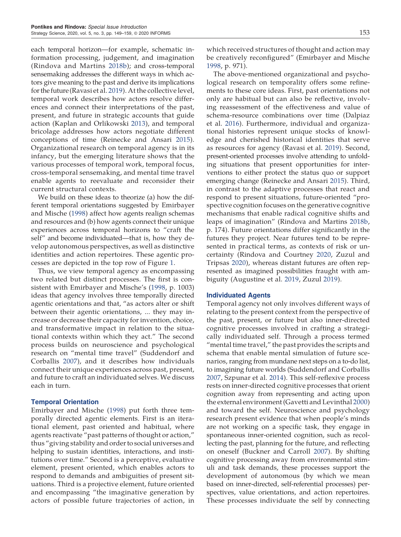each temporal horizon—for example, schematic information processing, judgement, and imagination (Rindova and Martins [2018b](#page-11-16)); and cross-temporal sensemaking addresses the different ways in which actors give meaning to the past and derive its implications for the future (Ravasi et al. [2019](#page-11-19)). At the collective level, temporal work describes how actors resolve differences and connect their interpretations of the past, present, and future in strategic accounts that guide action (Kaplan and Orlikowski [2013](#page-10-26)), and temporal bricolage addresses how actors negotiate different conceptions of time (Reinecke and Ansari [2015\)](#page-11-20). Organizational research on temporal agency is in its infancy, but the emerging literature shows that the various processes of temporal work, temporal focus, cross-temporal sensemaking, and mental time travel enable agents to reevaluate and reconsider their current structural contexts.

We build on these ideas to theorize (a) how the different temporal orientations suggested by Emirbayer and Mische ([1998\)](#page-10-7) affect how agents realign schemas and resources and (b) how agents connect their unique experiences across temporal horizons to "craft the self" and become individuated—that is, how they develop autonomous perspectives, as well as distinctive identities and action repertoires. These agentic processes are depicted in the top row of Figure [1](#page-2-0).

Thus, we view temporal agency as encompassing two related but distinct processes. The first is consistent with Emirbayer and Mische's ([1998](#page-10-7), p. 1003) ideas that agency involves three temporally directed agentic orientations and that, "as actors alter or shift between their agentic orientations, ... they may increase or decrease their capacity for invention, choice, and transformative impact in relation to the situational contexts within which they act." The second process builds on neuroscience and psychological research on "mental time travel" (Suddendorf and Corballis [2007\)](#page-11-21), and it describes how individuals connect their unique experiences across past, present, and future to craft an individuated selves. We discuss each in turn.

#### Temporal Orientation

Emirbayer and Mische ([1998](#page-10-7)) put forth three temporally directed agentic elements. First is an iterational element, past oriented and habitual, where agents reactivate "past patterns of thought or action," thus "giving stability and order to social universes and helping to sustain identities, interactions, and institutions over time." Second is a perceptive, evaluative element, present oriented, which enables actors to respond to demands and ambiguities of present situations. Third is a projective element, future oriented and encompassing "the imaginative generation by actors of possible future trajectories of action, in

which received structures of thought and action may be creatively reconfigured" (Emirbayer and Mische [1998](#page-10-7), p. 971).

The above-mentioned organizational and psychological research on temporality offers some refinements to these core ideas. First, past orientations not only are habitual but can also be reflective, involving reassessment of the effectiveness and value of schema-resource combinations over time (Dalpiaz et al. [2016](#page-10-16)). Furthermore, individual and organizational histories represent unique stocks of knowledge and cherished historical identities that serve as resources for agency (Ravasi et al. [2019](#page-11-19)). Second, present-oriented processes involve attending to unfolding situations that present opportunities for interventions to either protect the status quo or support emerging change (Reinecke and Ansari [2015\)](#page-11-20). Third, in contrast to the adaptive processes that react and respond to present situations, future-oriented "prospective cognition focuses on the generative cognitive mechanisms that enable radical cognitive shifts and leaps of imagination" (Rindova and Martins [2018b](#page-11-16), p. 174). Future orientations differ significantly in the futures they project. Near futures tend to be represented in practical terms, as contexts of risk or uncertainty (Rindova and Courtney [2020,](#page-11-4) Zuzul and Tripsas [2020\)](#page-11-22), whereas distant futures are often represented as imagined possibilities fraught with ambiguity (Augustine et al. [2019](#page-10-27), Zuzul [2019\)](#page-11-12).

#### Individuated Agents

Temporal agency not only involves different ways of relating to the present context from the perspective of the past, present, or future but also inner-directed cognitive processes involved in crafting a strategically individuated self. Through a process termed "mental time travel," the past provides the scripts and schema that enable mental simulation of future scenarios, ranging from mundane next steps on a to-do list, to imagining future worlds (Suddendorf and Corballis [2007](#page-11-21), Szpunar et al. [2014\)](#page-11-23). This self-reflexive process rests on inner-directed cognitive processes that orient cognition away from representing and acting upon the external environment (Gavetti and Levinthal [2000](#page-10-28)) and toward the self. Neuroscience and psychology research present evidence that when people's minds are not working on a specific task, they engage in spontaneous inner-oriented cognition, such as recollecting the past, planning for the future, and reflecting on oneself (Buckner and Carroll [2007\)](#page-10-29). By shifting cognitive processing away from environmental stimuli and task demands, these processes support the development of autonomous (by which we mean based on inner-directed, self-referential processes) perspectives, value orientations, and action repertoires. These processes individuate the self by connecting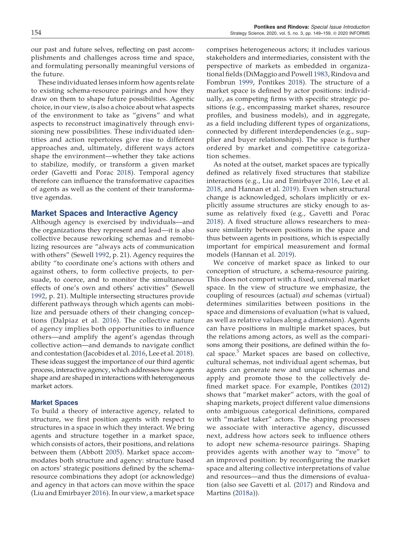our past and future selves, reflecting on past accomplishments and challenges across time and space, and formulating personally meaningful versions of the future.

These individuated lenses inform how agents relate to existing schema-resource pairings and how they draw on them to shape future possibilities. Agentic choice, in our view, is also a choice about what aspects of the environment to take as "givens" and what aspects to reconstruct imaginatively through envisioning new possibilities. These individuated identities and action repertoires give rise to different approaches and, ultimately, different ways actors shape the environment—whether they take actions to stabilize, modify, or transform a given market order (Gavetti and Porac [2018](#page-10-15)). Temporal agency therefore can influence the transformative capacities of agents as well as the content of their transformative agendas.

#### Market Spaces and Interactive Agency

Although agency is exercised by individuals—and the organizations they represent and lead—it is also collective because reworking schemas and remobilizing resources are "always acts of communication with others" (Sewell [1992,](#page-11-6) p. 21). Agency requires the ability "to coordinate one's actions with others and against others, to form collective projects, to persuade, to coerce, and to monitor the simultaneous effects of one's own and others' activities" (Sewell [1992](#page-11-6), p. 21). Multiple intersecting structures provide different pathways through which agents can mobilize and persuade others of their changing conceptions (Dalpiaz et al. [2016](#page-10-16)). The collective nature of agency implies both opportunities to influence others—and amplify the agent's agendas through collective action—and demands to navigate conflict and contestation (Jacobides et al. [2016](#page-10-18), Lee et al. [2018\)](#page-11-0). These ideas suggest the importance of our third agentic process, interactive agency, which addresses how agents shape and are shaped in interactions with heterogeneous market actors.

#### Market Spaces

To build a theory of interactive agency, related to structure, we first position agents with respect to structures in a space in which they interact. We bring agents and structure together in a market space, which consists of actors, their positions, and relations between them (Abbott [2005](#page-10-30)). Market space accommodates both structure and agency: structure based on actors' strategic positions defined by the schemaresource combinations they adopt (or acknowledge) and agency in that actors can move within the space (Liu and Emirbayer [2016](#page-11-24)). In our view, a market space

comprises heterogeneous actors; it includes various stakeholders and intermediaries, consistent with the perspective of markets as embedded in organizational fields (DiMaggio and Powell [1983,](#page-10-31) Rindova and Fombrun [1999](#page-11-1), Pontikes [2018\)](#page-11-3). The structure of a market space is defined by actor positions: individually, as competing firms with specific strategic positions (e.g., encompassing market shares, resource profiles, and business models), and in aggregate, as a field including different types of organizations, connected by different interdependencies (e.g., supplier and buyer relationships). The space is further ordered by market and competitive categorization schemes.

As noted at the outset, market spaces are typically defined as relatively fixed structures that stabilize interactions (e.g., Liu and Emirbayer [2016](#page-11-24), Lee et al. [2018](#page-11-0), and Hannan et al. [2019\)](#page-10-11). Even when structural change is acknowledged, scholars implicitly or explicitly assume structures are sticky enough to assume as relatively fixed (e.g., Gavetti and Porac [2018](#page-10-15)). A fixed structure allows researchers to measure similarity between positions in the space and thus between agents in positions, which is especially important for empirical measurement and formal models (Hannan et al. [2019](#page-10-11)).

We conceive of market space as linked to our conception of structure, a schema-resource pairing. This does not comport with a fixed, universal market space. In the view of structure we emphasize, the coupling of resources (actual) and schemas (virtual) determines similarities between positions in the space and dimensions of evaluation (what is valued, as well as relative values along a dimension). Agents can have positions in multiple market spaces, but the relations among actors, as well as the comparisons among their positions, are defined within the fo-cal space.<sup>[5](#page-10-32)</sup> Market spaces are based on collective, cultural schemas, not individual agent schemas, but agents can generate new and unique schemas and apply and promote those to the collectively defined market space. For example, Pontikes ([2012](#page-11-25)) shows that "market maker" actors, with the goal of shaping markets, project different value dimensions onto ambiguous categorical definitions, compared with "market taker" actors. The shaping processes we associate with interactive agency, discussed next, address how actors seek to influence others to adopt new schema-resource pairings. Shaping provides agents with another way to "move" to an improved position: by reconfiguring the market space and altering collective interpretations of value and resources—and thus the dimensions of evaluation (also see Gavetti et al. ([2017\)](#page-10-2) and Rindova and Martins [\(2018a](#page-11-26))).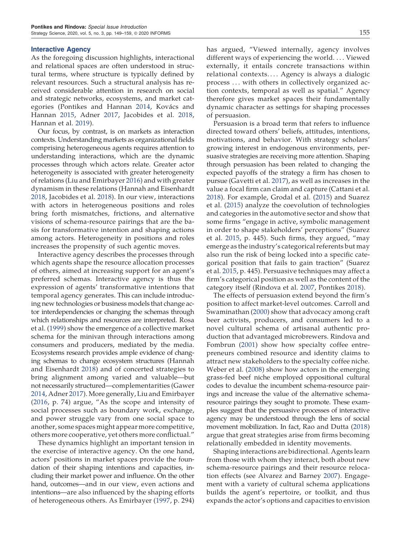#### Interactive Agency

As the foregoing discussion highlights, interactional and relational spaces are often understood in structural terms, where structure is typically defined by relevant resources. Such a structural analysis has received considerable attention in research on social and strategic networks, ecosystems, and market cat-egories (Pontikes and Hannan [2014](#page-11-27), Kovács and Hannan [2015,](#page-11-28) Adner [2017](#page-10-33), Jacobides et al. [2018](#page-10-34), Hannan et al. [2019\)](#page-10-11).

Our focus, by contrast, is on markets as interaction contexts. Understanding markets as organizational fields comprising heterogeneous agents requires attention to understanding interactions, which are the dynamic processes through which actors relate. Greater actor heterogeneity is associated with greater heterogeneity of relations (Liu and Emirbayer [2016\)](#page-11-24) and with greater dynamism in these relations (Hannah and Eisenhardt [2018](#page-10-35), Jacobides et al. [2018\)](#page-10-34). In our view, interactions with actors in heterogeneous positions and roles bring forth mismatches, frictions, and alternative visions of schema-resource pairings that are the basis for transformative intention and shaping actions among actors. Heterogeneity in positions and roles increases the propensity of such agentic moves.

Interactive agency describes the processes through which agents shape the resource allocation processes of others, aimed at increasing support for an agent's preferred schemas. Interactive agency is thus the expression of agents' transformative intentions that temporal agency generates. This can include introducing new technologies or business models that change actor interdependencies or changing the schemas through which relationships and resources are interpreted. Rosa et al. ([1999\)](#page-11-10) show the emergence of a collective market schema for the minivan through interactions among consumers and producers, mediated by the media. Ecosystems research provides ample evidence of changing schemas to change ecosystem structures (Hannah and Eisenhardt [2018\)](#page-10-35) and of concerted strategies to bring alignment among varied and valuable—but not necessarily structured—complementarities (Gawer [2014](#page-10-36), Adner [2017\)](#page-10-33). More generally, Liu and Emirbayer ([2016,](#page-11-24) p. 74) argue, "As the scope and intensity of social processes such as boundary work, exchange, and power struggle vary from one social space to another, some spaces might appear more competitive, others more cooperative, yet others more conflictual."

These dynamics highlight an important tension in the exercise of interactive agency. On the one hand, actors' positions in market spaces provide the foundation of their shaping intentions and capacities, including their market power and influence. On the other hand, outcomes—and in our view, even actions and intentions—are also influenced by the shaping efforts of heterogeneous others. As Emirbayer ([1997](#page-10-37), p. 294) has argued, "Viewed internally, agency involves different ways of experiencing the world. ... Viewed externally, it entails concrete transactions within relational contexts. . . . Agency is always a dialogic process . . . with others in collectively organized action contexts, temporal as well as spatial." Agency therefore gives market spaces their fundamentally dynamic character as settings for shaping processes of persuasion.

Persuasion is a broad term that refers to influence directed toward others' beliefs, attitudes, intentions, motivations, and behavior. With strategy scholars' growing interest in endogenous environments, persuasive strategies are receiving more attention. Shaping through persuasion has been related to changing the expected payoffs of the strategy a firm has chosen to pursue (Gavetti et al. [2017](#page-10-2)), as well as increases in the value a focal firm can claim and capture (Cattani et al. [2018](#page-10-0)). For example, Grodal et al. [\(2015](#page-10-38)) and Suarez et al. ([2015](#page-11-7)) analyze the coevolution of technologies and categories in the automotive sector and show that some firms "engage in active, symbolic management in order to shape stakeholders' perceptions" (Suarez et al. [2015,](#page-11-7) p. 445). Such firms, they argued, "may emerge as the industry's categorical referents but may also run the risk of being locked into a specific categorical position that fails to gain traction" (Suarez et al. [2015](#page-11-7), p. 445). Persuasive techniques may affect a firm's categorical position as well as the content of the category itself (Rindova et al. [2007,](#page-11-29) Pontikes [2018](#page-11-3)).

The effects of persuasion extend beyond the firm's position to affect market-level outcomes. Carroll and Swaminathan [\(2000](#page-10-39)) show that advocacy among craft beer activists, producers, and consumers led to a novel cultural schema of artisanal authentic production that advantaged microbrewers. Rindova and Fombrun ([2001\)](#page-11-30) show how specialty coffee entrepreneurs combined resource and identity claims to attract new stakeholders to the specialty coffee niche. Weber et al. ([2008\)](#page-11-11) show how actors in the emerging grass-fed beef niche employed oppositional cultural codes to devalue the incumbent schema-resource pairings and increase the value of the alternative schemaresource pairings they sought to promote. These examples suggest that the persuasive processes of interactive agency may be understood through the lens of social movement mobilization. In fact, Rao and Dutta ([2018](#page-11-31)) argue that great strategies arise from firms becoming relationally embedded in identity movements.

Shaping interactions are bidirectional. Agents learn from those with whom they interact, both about new schema-resource pairings and their resource relocation effects (see Alvarez and Barney [2007\)](#page-10-40). Engagement with a variety of cultural schema applications builds the agent's repertoire, or toolkit, and thus expands the actor's options and capacities to envision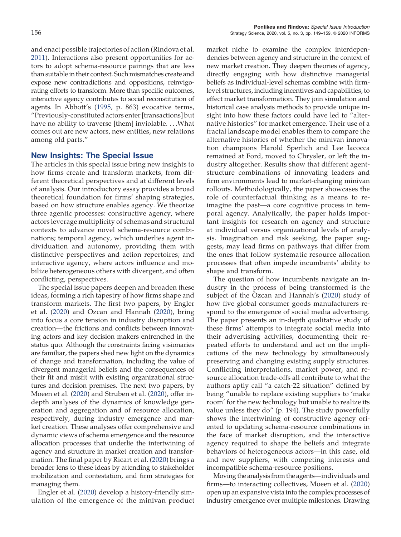and enact possible trajectories of action (Rindova et al. [2011](#page-11-32)). Interactions also present opportunities for actors to adopt schema-resource pairings that are less than suitable in their context. Such mismatches create and expose new contradictions and oppositions, reinvigorating efforts to transform. More than specific outcomes, interactive agency contributes to social reconstitution of agents. In Abbott's ([1995,](#page-10-41) p. 863) evocative terms, "Previously-constituted actors enter [transactions] but have no ability to traverse [them] inviolable. . . .What comes out are new actors, new entities, new relations among old parts."

## New Insights: The Special Issue

The articles in this special issue bring new insights to how firms create and transform markets, from different theoretical perspectives and at different levels of analysis. Our introductory essay provides a broad theoretical foundation for firms' shaping strategies, based on how structure enables agency. We theorize three agentic processes: constructive agency, where actors leverage multiplicity of schemas and structural contexts to advance novel schema-resource combinations; temporal agency, which underlies agent individuation and autonomy, providing them with distinctive perspectives and action repertoires; and interactive agency, where actors influence and mobilize heterogeneous others with divergent, and often conflicting, perspectives.

The special issue papers deepen and broaden these ideas, forming a rich tapestry of how firms shape and transform markets. The first two papers, by Engler et al. [\(2020\)](#page-10-42) and Ozcan and Hannah ([2020\)](#page-11-33), bring into focus a core tension in industry disruption and creation—the frictions and conflicts between innovating actors and key decision makers entrenched in the status quo. Although the constraints facing visionaries are familiar, the papers shed new light on the dynamics of change and transformation, including the value of divergent managerial beliefs and the consequences of their fit and misfit with existing organizational structures and decision premises. The next two papers, by Moeen et al. ([2020](#page-11-34)) and Struben et al. [\(2020](#page-11-35)), offer indepth analyses of the dynamics of knowledge generation and aggregation and of resource allocation, respectively, during industry emergence and market creation. These analyses offer comprehensive and dynamic views of schema emergence and the resource allocation processes that underlie the intertwining of agency and structure in market creation and transformation. The final paper by Ricart et al. ([2020\)](#page-11-36) brings a broader lens to these ideas by attending to stakeholder mobilization and contestation, and firm strategies for managing them.

Engler et al. ([2020\)](#page-10-42) develop a history-friendly simulation of the emergence of the minivan product market niche to examine the complex interdependencies between agency and structure in the context of new market creation. They deepen theories of agency, directly engaging with how distinctive managerial beliefs as individual-level schemas combine with firmlevel structures, including incentives and capabilities, to effect market transformation. They join simulation and historical case analysis methods to provide unique insight into how these factors could have led to "alternative histories" for market emergence. Their use of a fractal landscape model enables them to compare the alternative histories of whether the minivan innovation champions Harold Sperlich and Lee Iacocca remained at Ford, moved to Chrysler, or left the industry altogether. Results show that different agentstructure combinations of innovating leaders and firm environments lead to market-changing minivan rollouts. Methodologically, the paper showcases the role of counterfactual thinking as a means to reimagine the past—a core cognitive process in temporal agency. Analytically, the paper holds important insights for research on agency and structure at individual versus organizational levels of analysis. Imagination and risk seeking, the paper suggests, may lead firms on pathways that differ from the ones that follow systematic resource allocation processes that often impede incumbents' ability to shape and transform.

The question of how incumbents navigate an industry in the process of being transformed is the subject of the Ozcan and Hannah's ([2020\)](#page-11-33) study of how five global consumer goods manufacturers respond to the emergence of social media advertising. The paper presents an in-depth qualitative study of these firms' attempts to integrate social media into their advertising activities, documenting their repeated efforts to understand and act on the implications of the new technology by simultaneously preserving and changing existing supply structures. Conflicting interpretations, market power, and resource allocation trade-offs all contribute to what the authors aptly call "a catch-22 situation" defined by being "unable to replace existing suppliers to 'make room' for the new technology but unable to realize its value unless they do" (p. 194). The study powerfully shows the intertwining of constructive agency oriented to updating schema-resource combinations in the face of market disruption, and the interactive agency required to shape the beliefs and integrate behaviors of heterogeneous actors—in this case, old and new suppliers, with competing interests and incompatible schema-resource positions.

Moving the analysis from the agents—individuals and firms—to interacting collectives, Moeen et al. ([2020](#page-11-34)) open up an expansive vista into the complex processes of industry emergence over multiple milestones. Drawing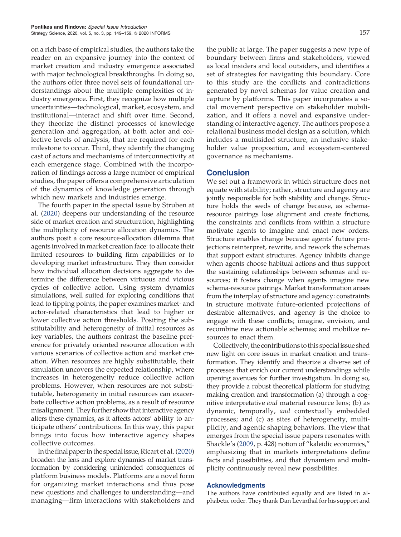on a rich base of empirical studies, the authors take the reader on an expansive journey into the context of market creation and industry emergence associated with major technological breakthroughs. In doing so, the authors offer three novel sets of foundational understandings about the multiple complexities of industry emergence. First, they recognize how multiple uncertainties—technological, market, ecosystem, and institutional—interact and shift over time. Second, they theorize the distinct processes of knowledge generation and aggregation, at both actor and collective levels of analysis, that are required for each milestone to occur. Third, they identify the changing cast of actors and mechanisms of interconnectivity at each emergence stage. Combined with the incorporation of findings across a large number of empirical studies, the paper offers a comprehensive articulation of the dynamics of knowledge generation through which new markets and industries emerge.

The fourth paper in the special issue by Struben at al. [\(2020](#page-11-35)) deepens our understanding of the resource side of market creation and structuration, highlighting the multiplicity of resource allocation dynamics. The authors posit a core resource-allocation dilemma that agents involved in market creation face: to allocate their limited resources to building firm capabilities or to developing market infrastructure. They then consider how individual allocation decisions aggregate to determine the difference between virtuous and vicious cycles of collective action. Using system dynamics simulations, well suited for exploring conditions that lead to tipping points, the paper examines market- and actor-related characteristics that lead to higher or lower collective action thresholds. Positing the substitutability and heterogeneity of initial resources as key variables, the authors contrast the baseline preference for privately oriented resource allocation with various scenarios of collective action and market creation. When resources are highly substitutable, their simulation uncovers the expected relationship, where increases in heterogeneity reduce collective action problems. However, when resources are not substitutable, heterogeneity in initial resources can exacerbate collective action problems, as a result of resource misalignment. They further show that interactive agency alters these dynamics, as it affects actors' ability to anticipate others' contributions. In this way, this paper brings into focus how interactive agency shapes collective outcomes.

In the final paper in the special issue, Ricart et al. ([2020](#page-11-36)) broaden the lens and explore dynamics of market transformation by considering unintended consequences of platform business models. Platforms are a novel form for organizing market interactions and thus pose new questions and challenges to understanding—and managing—firm interactions with stakeholders and

the public at large. The paper suggests a new type of boundary between firms and stakeholders, viewed as local insiders and local outsiders, and identifies a set of strategies for navigating this boundary. Core to this study are the conflicts and contradictions generated by novel schemas for value creation and capture by platforms. This paper incorporates a social movement perspective on stakeholder mobilization, and it offers a novel and expansive understanding of interactive agency. The authors propose a relational business model design as a solution, which includes a multisided structure, an inclusive stakeholder value proposition, and ecosystem-centered governance as mechanisms.

### **Conclusion**

We set out a framework in which structure does not equate with stability; rather, structure and agency are jointly responsible for both stability and change. Structure holds the seeds of change because, as schemaresource pairings lose alignment and create frictions, the constraints and conflicts from within a structure motivate agents to imagine and enact new orders. Structure enables change because agents' future projections reinterpret, rewrite, and rework the schemas that support extant structures. Agency inhibits change when agents choose habitual actions and thus support the sustaining relationships between schemas and resources; it fosters change when agents imagine new schema-resource pairings. Market transformation arises from the interplay of structure and agency: constraints in structure motivate future-oriented projections of desirable alternatives, and agency is the choice to engage with these conflicts; imagine, envision, and recombine new actionable schemas; and mobilize resources to enact them.

Collectively, the contributions to this special issue shed new light on core issues in market creation and transformation. They identify and theorize a diverse set of processes that enrich our current understandings while opening avenues for further investigation. In doing so, they provide a robust theoretical platform for studying making creation and transformation (a) through a cognitive interpretative *and* material resource lens; (b) as dynamic, temporally, and contextually embedded processes; and (c) as sites of heterogeneity, multiplicity, and agentic shaping behaviors. The view that emerges from the special issue papers resonates with Shackle's ([2009,](#page-11-37) p. 428) notion of "kaleidic economics," emphasizing that in markets interpretations define facts and possibilities, and that dynamism and multiplicity continuously reveal new possibilities.

#### **Acknowledgments**

The authors have contributed equally and are listed in alphabetic order. They thank Dan Levinthal for his support and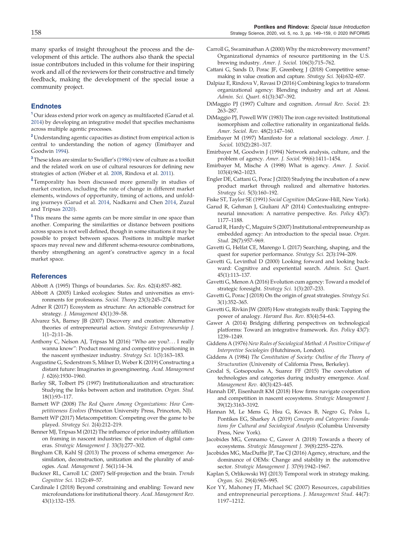many sparks of insight throughout the process and the development of this article. The authors also thank the special issue contributors included in this volume for their inspiring work and all of the reviewers for their constructive and timely feedback, making the development of the special issue a community project.

#### <span id="page-10-4"></span>**Endnotes**

<sup>1</sup> Our ideas extend prior work on agency as multifaceted (Garud et al. [2014](#page-10-43)) by developing an integrative model that specifies mechanisms across multiple agentic processes.

<span id="page-10-5"></span><sup>2</sup> Understanding agentic capacities as distinct from empirical action is central to understanding the notion of agency (Emirbayer and Goodwin [1994\)](#page-10-44).

<span id="page-10-23"></span><sup>3</sup> These ideas are similar to Swidler's [\(1986](#page-11-38)) view of culture as a toolkit and the related work on use of cultural resources for defining new strategies of action (Weber et al. [2008](#page-11-11), Rindova et al. [2011](#page-11-32)).

<span id="page-10-25"></span><sup>4</sup> Temporality has been discussed more generally in studies of market creation, including the rate of change in different market elements, windows of opportunity, timing of actions, and unfolding journeys (Garud et al. [2014,](#page-10-43) Nadkarni and Chen [2014](#page-11-17), Zuzul and Tripsas [2020](#page-11-22)).

<span id="page-10-32"></span> $^{\rm 5}$  This means the same agents can be more similar in one space than another. Comparing the similarities or distance between positions across spaces is not well defined, though in some situations it may be possible to project between spaces. Positions in multiple market spaces may reveal new and different schema-resource combinations, thereby strengthening an agent's constructive agency in a focal market space.

#### <span id="page-10-41"></span>**References**

<span id="page-10-30"></span>Abbott A (1995) Things of boundaries. Soc. Res. 62(4):857–882.

- Abbott A (2005) Linked ecologies: States and universities as environments for professions. Sociol. Theory 23(3):245–274.
- <span id="page-10-33"></span>Adner R (2017) Ecosystem as structure: An actionable construct for strategy. J. Management 43(1):39–58.
- <span id="page-10-40"></span>Alvarez SA, Barney JB (2007) Discovery and creation: Alternative theories of entrepreneurial action. Strategic Entrepreneurship J. 1(1–2):11–26.
- <span id="page-10-14"></span>Anthony C, Nelson AJ, Tripsas M (2016) "Who are you?. . . I really wanna know": Product meaning and competitive positioning in the nascent synthesizer industry. Strategy Sci. 1(3):163–183.
- <span id="page-10-27"></span>Augustine G, Soderstrom S, Milner D, Weber K (2019) Constructing a distant future: Imaginaries in geoengineering. Acad. Management J. 62(6):1930–1960.
- <span id="page-10-8"></span>Barley SR, Tolbert PS (1997) Institutionalization and structuration: Studying the links between action and institution. Organ. Stud. 18(1):93–117.
- <span id="page-10-20"></span><span id="page-10-19"></span>Barnett WP (2008) The Red Queen Among Organizations: How Competitiveness Evolves (Princeton University Press, Princeton, NJ).
- <span id="page-10-22"></span>Barnett WP (2017) Metacompetition: Competing over the game to be played. Strategy Sci. 2(4):212–219.
- Benner MJ, Tripsas M (2012) The influence of prior industry affiliation on framing in nascent industries: the evolution of digital cameras. Strategic Management J. 33(3):277–302.
- <span id="page-10-17"></span>Bingham CB, Kahl SJ (2013) The process of schema emergence: Assimilation, deconstruction, unitization and the plurality of analogies. Acad. Management J. 56(1):14–34.
- <span id="page-10-29"></span><span id="page-10-10"></span>Buckner RL, Carroll LC (2007) Self-projection and the brain. Trends Cognitive Sci. 11(2):49–57.
- Cardinale I (2018) Beyond constraining and enabling: Toward new microfoundations for institutional theory. Acad. Management Rev. 43(1):132–155.
- <span id="page-10-39"></span>Carroll G, Swaminathan A (2000) Why the microbrewery movement? Organizational dynamics of resource partitioning in the U.S. brewing industry. Amer. J. Sociol. 106(3):715–762.
- <span id="page-10-0"></span>Cattani G, Sands D, Porac JF, Greenberg J (2018) Competitive sensemaking in value creation and capture. Strategy Sci. 3(4):632–657.
- <span id="page-10-16"></span>Dalpiaz E, Rindova V, Ravasi D (2016) Combining logics to transform organizational agency: Blending industry and art at Alessi. Admin. Sci. Quart. 61(3):347–392.
- <span id="page-10-13"></span>DiMaggio PJ (1997) Culture and cognition. Annual Rev. Sociol. 23: 263–287.
- <span id="page-10-31"></span>DiMaggio PJ, Powell WW (1983) The iron cage revisited: Institutional isomorphism and collective rationality in organizational fields. Amer. Sociol. Rev. 48(2):147–160.
- <span id="page-10-37"></span>Emirbayer M (1997) Manifesto for a relational sociology. Amer. J. Sociol. 103(2):281–317.
- <span id="page-10-44"></span>Emirbayer M, Goodwin J (1994) Network analysis, culture, and the problem of agency. Amer. J. Sociol. 99(6):1411–1454.
- <span id="page-10-7"></span>Emirbayer M, Mische A (1998) What is agency. Amer. J. Sociol. 103(4):962–1023.
- <span id="page-10-42"></span>Engler DE, Cattani G, Porac J (2020) Studying the incubation of a new product market through realized and alternative histories. Strategy Sci. 5(3):160–192.

<span id="page-10-12"></span>Fiske ST, Taylor SE (1991) Social Cognition (McGraw-Hill, New York).

<span id="page-10-43"></span>Garud R, Gehman J, Giuliani AP (2014) Contextualizing entrepreneurial innovation: A narrative perspective. Res. Policy 43(7): 1177–1188.

- <span id="page-10-9"></span>Garud R, Hardy C, Maguire S (2007) Institutional entrepreneurship as embedded agency: An introduction to the special issue. Organ. Stud. 28(7):957–969.
- <span id="page-10-2"></span>Gavetti G, Helfat CE, Marengo L (2017) Searching, shaping, and the quest for superior performance. Strategy Sci. 2(3):194–209.
- <span id="page-10-28"></span>Gavetti G, Levinthal D (2000) Looking forward and looking backward: Cognitive and experiential search. Admin. Sci. Quart. 45(1):113–137.
- <span id="page-10-1"></span>Gavetti G, Menon A (2016) Evolution cum agency: Toward a model of strategic foresight. Strategy Sci. 1(3):207–233.
- <span id="page-10-15"></span>Gavetti G, Porac J (2018) On the origin of great strategies. Strategy Sci. 3(1):352–365.
- <span id="page-10-24"></span>Gavetti G, Rivkin JW (2005) How strategists really think: Tapping the power of analogy. Harvard Bus. Rev. 83(4):54–63.
- <span id="page-10-36"></span>Gawer A (2014) Bridging differing perspectives on technological platforms: Toward an integrative framework. Res. Policy 43(7): 1239–1249.
- <span id="page-10-6"></span>Giddens A (1976) New Rules of Sociological Method: A Positive Critique of Interpretive Sociologies (Hutchinson, London).
- <span id="page-10-3"></span>Giddens A (1984) The Constitution of Society: Outline of the Theory of Structuration (University of California Press, Berkeley).
- <span id="page-10-38"></span>Grodal S, Gotsopoulos A, Suarez FF (2015) The coevolution of technologies and categories during industry emergence. Acad. Management Rev. 40(3):423–445.
- <span id="page-10-35"></span>Hannah DP, Eisenhardt KM (2018) How firms navigate cooperation and competition in nascent ecosystems. Strategic Management J. 39(12):3163–3192.
- <span id="page-10-11"></span>Hannan M, Le Mens G, Hsu G, Kovacs B, Negro G, Polos L, Pontikes EG, Sharkey A (2019) Concepts and Categories: Foundations for Cultural and Sociological Analysis (Columbia University Press, New York).
- <span id="page-10-34"></span>Jacobides MG, Cennamo C, Gawer A (2018) Towards a theory of ecosystems. Strategic Management J. 39(8):2255–2276.
- <span id="page-10-18"></span>Jacobides MG, MacDuffie JP, Tae CJ (2016) Agency, structure, and the dominance of OEMs: Change and stability in the automotive sector. Strategic Management J. 37(9):1942–1967.
- <span id="page-10-26"></span>Kaplan S, Orlikowski WJ (2013) Temporal work in strategy making. Organ. Sci. 29(4):965–995.
- <span id="page-10-21"></span>Kor YY, Mahoney JT, Michael SC (2007) Resources, capabilities and entrepreneurial perceptions. J. Management Stud. 44(7): 1197–1212.